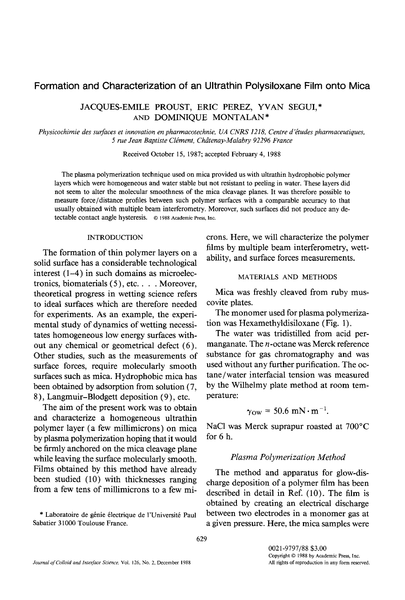# Formation and Characterization of an Ultrathin Polysiloxane Film onto Mica

JACQUES-EMILE PROUST, ERIC PEREZ, YVAN SEGUI,\* AND DOMINIQUE MONTALAN\*

*Physicochimie des surfaces et innovation en pharmacotechnie, UA CNRS 1218, Centre d'études pharmaceutiques, 5 rue Jean Baptiste Clement, Chdtenay-Malabry 92296 France* 

Received October 15, 1987; accepted February 4, 1988

The plasma polymerization technique used on mica provided us with ultrathin hydrophobic polymer layers which were homogeneous and water stable but not resistant to peeling in water. These layers did not seem to alter the molecular smoothness of the mica cleavage planes. It was therefore possible to measure force/distance profiles between such polymer surfaces with a comparable accuracy to that usually obtained with multiple beam interferometry. Moreover, such surfaces did not produce any detectable contact angle hysteresis. © 1988 Academic Press, Inc.

### INTRODUCTION

The formation of thin polymer layers on a solid surface has a considerable technological interest (1-4) in such domains as microelectronics, biomaterials (5), etc .... Moreover, theoretical progress in wetting science refers to ideal surfaces which are therefore needed for experiments. As an example, the experimental study of dynamics of wetting necessitates homogeneous low energy surfaces without any chemical or geometrical defect (6). Other studies, such as the measurements of surface forces, require molecularly smooth surfaces such as mica. Hydrophobic mica has been obtained by adsorption from solution (7, 8 ), Langmuir-Blodgett deposition (9), etc.

The aim of the present work was to obtain and characterize a homogeneous ultrathin polymer layer (a few millimicrons) on mica by plasma polymerization hoping that it would be firmly anchored on the mica cleavage plane while leaving the surface molecularly smooth. Films obtained by this method have already been studied (10) with thicknesses ranging from a few tens of millimicrons to a few mi-

\* Laboratoire de génie électrique de l'Université Paul Sabatier 31000 Toulouse France.

crons. Here, we will characterize the polymer films by multiple beam interferometry, wettability, and surface forces measurements.

### MATERIALS AND METHODS

Mica was freshly cleaved from ruby muscovite plates.

The monomer used for plasma polymerization was Hexamethyldisiloxane (Fig. I).

The water was tridistilled from acid permanganate. The  $n$ -octane was Merck reference substance for gas chromatography and was used without any further purification. The octane/water interfacial tension was measured by the Wilhelmy plate method at room temperature:

$$
\gamma_{\rm OW} = 50.6 \text{ mN} \cdot \text{m}^{-1}.
$$

NaC1 was Merck suprapur roasted at 700°C for 6 h.

## *Plasma Polymerization Method*

The method and apparatus for glow-discharge deposition of a polymer film has been described in detail in Ref. (10). The film is obtained by creating an electrical discharge between two electrodes in a monomer gas at a given pressure. Here, the mica samples were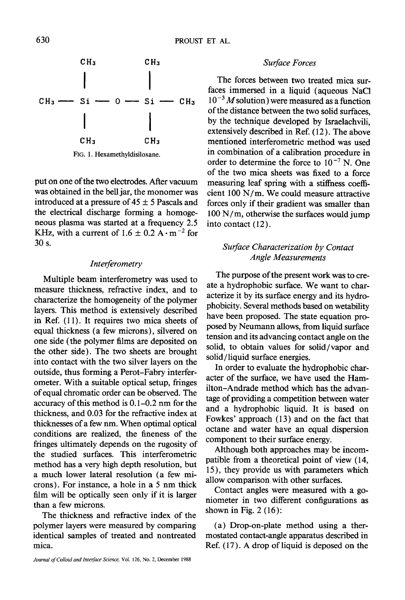

FIG. 1. Hexamethyldisiloxane.

put on one of the two electrodes. After vacuum was obtained in the bell jar, the monomer was introduced at a pressure of  $45 \pm 5$  Pascals and the electrical discharge forming a homogeneous plasma was started at a frequency 2.5 KHz, with a current of 1.6  $\pm$  0.2 A $\cdot$  m<sup>-2</sup> for 30 s.

## *Interferometry*

Multiple beam interferometry was used to measure thickness, refractive index, and to characterize the homogeneity of the polymer layers. This method is extensively described in Ref. (11). It requires two mica sheets of equal thickness (a few microns), silvered on one side (the polymer films are deposited on the other side). The two sheets are brought into contact with the two silver layers on the outside, thus forming a Perot-Fabry interferometer. With a suitable optical setup, fringes of equal chromatic order can be observed. The accuracy of this method is 0.1-0.2 nm for the thickness, and 0.03 for the refractive index at thicknesses of a few nm. When optimal optical conditions are realized, the fineness of the fringes ultimately depends on the rugosity of the studied surfaces. This interferometric method has a very high depth resolution, but a much lower lateral resolution (a few microns). For instance, a hole in a 5 nm thick film will be optically seen only if it is larger than a few microns.

The thickness and refractive index of the polymer layers were measured by comparing identical samples of treated and nontreated mica.

### **Surface Forces**

The forces between two treated mica surfaces immersed in a liquid (aqueous NaC1 **10-3** M solution) were measured as a function of the distance between the two solid surfaces, by the technique developed by Israelachvili, extensively described in Ref. (12). The above mentioned interferometric method was used in combination of a calibration procedure in order to determine the force to  $10^{-7}$  N. One of the two mica sheets was fixed to a force measuring leaf spring with a stiffness coefficient 100 N/m. We could measure attractive forces only if their gradient was smaller than  $100 \text{ N/m}$ , otherwise the surfaces would jump into contact (12).

# *Surface Characterization by Contact Angle Measurements*

The purpose of the present work was to create a hydrophobic surface. We want to characterize it by its surface energy and its hydrophobicity. Several methods based on wetability have been proposed. The state equation proposed by Neumann allows, from liquid surface tension and its advancing contact angle on the solid, to obtain values for solid/vapor and solid/liquid surface energies.

In order to evaluate the hydrophobic character of the surface, we have used the Hamilton-Andrade method which has the advantage of providing a competition between water and a hydrophobic liquid. It is based on Fowkes' approach (13) and on the fact that octane and water have an equal dispersion component to their surface energy.

Although both approaches may be incompatible from a theoretical point of view (14, 15), they provide us with parameters which allow comparison with other surfaces.

Contact angles were measured with a goniometer in two different configurations as shown in Fig. 2 (16):

(a) Drop-on-plate method using a thermostated contact-angle apparatus described in Ref. (17). A drop of liquid is deposed on the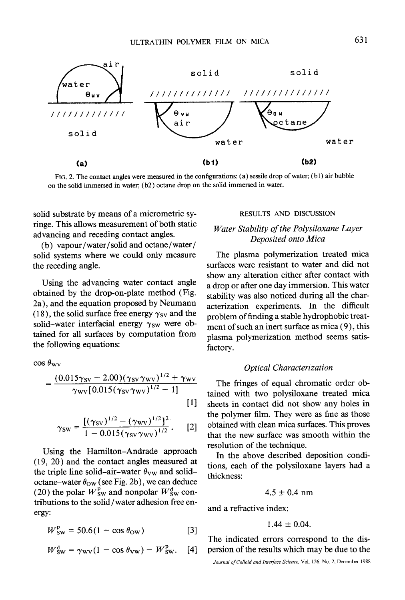

FIG. 2. The contact angles were measured in the configurations: (a) sessile drop of water; (bl) air bubble on the solid immersed in water;  $(b2)$  octane drop on the solid immersed in water.

solid substrate by means of a micrometric sytinge. This allows measurement of both static advancing and receding contact angles.

(b) vapour/water/solid and octane/water/ solid systems where we could only measure the receding angle.

Using the advancing water contact angle obtained by the drop-on-plate method (Fig. 2a), and the equation proposed by Neumann (18), the solid surface free energy  $\gamma_{SV}$  and the solid-water interfacial energy  $\gamma_{\rm SW}$  were obtained for all surfaces by computation from the following equations:

 $\cos \theta_{\rm WV}$ 

$$
=\frac{(0.015\gamma_{SV}-2.00)(\gamma_{SV}\gamma_{WV})^{1/2}+\gamma_{WV}}{\gamma_{WV}[0.015(\gamma_{SV}\gamma_{WV})^{1/2}-1]}
$$
[1]

$$
\gamma_{\rm SW} = \frac{[(\gamma_{\rm SV})^{1/2} - (\gamma_{\rm WW})^{1/2}]^2}{1 - 0.015 (\gamma_{\rm SV} \gamma_{\rm WW})^{1/2}}. \qquad [2]
$$

Using the Hamilton-Andrade approach (19, 20) and the contact angles measured at the triple line solid-air-water  $\theta_{\rm VW}$  and solidoctane-water  $\theta_{\rm OW}$  (see Fig. 2b), we can deduce (20) the polar  $W_{\text{SW}}^{\text{p}}$  and nonpolar  $W_{\text{SW}}^{\text{d}}$  contributions to the solid/water adhesion free energy:

$$
W_{\text{SW}}^{\text{p}} = 50.6(1 - \cos \theta_{\text{OW}}) \tag{3}
$$

$$
W_{\text{SW}}^{\text{d}} = \gamma_{\text{WV}} (1 - \cos \theta_{\text{VW}}) - W_{\text{SW}}^{\text{p}}.
$$
 [4]

## RESULTS AND DISCUSSION

# *Water Stability of the Polysiloxane Layer Deposited onto Mica*

The plasma polymerization treated mica surfaces were resistant to water and did not show any alteration either after contact with a drop or after one day immersion. This water stability was also noticed during all the characterization experiments. In the difficult problem of finding a stable hydrophobic treatment of such an inert surface as mica (9), this plasma polymerization method seems satisfactory.

### *Optical Characterization*

The fringes of equal chromatic order obtained with two polysiloxane treated mica sheets in contact did not show any holes in the polymer film. They were as fine as those obtained with clean mica surfaces. This proves that the new surface was smooth within the resolution of the technique.

In the above described deposition conditions, each of the polysiloxane layers had a thickness:

$$
4.5\pm0.4~\mathrm{nm}
$$

and a refractive index:

$$
1.44\pm0.04.
$$

The indicated errors correspond to the dispersion of the results which may be due to the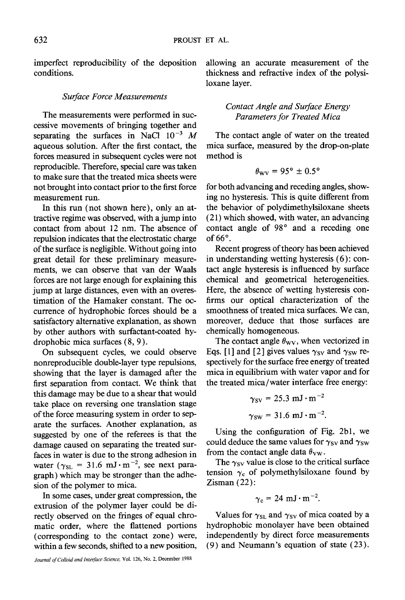imperfect reproducibility of the deposition conditions.

#### *Surface Force Measurements*

The measurements were performed in successive movements of bringing together and separating the surfaces in NaCl  $10^{-3}$  M aqueous solution. After the first contact, the forces measured in subsequent cycles were not reproducible. Therefore, special care was taken to make sure that the treated mica sheets were not brought into contact prior to the first force measurement run.

In this run (not shown here), only an attractive regime was observed, with a jump into contact from about 12 nm. The absence of repulsion indicates that the electrostatic charge of the surface is negligible. Without going into great detail for these preliminary measurements, we can observe that van der Waals forces are not large enough for explaining this jump at large distances, even with an overestimation of the Hamaker constant. The occurrence of hydrophobic forces should be a satisfactory alternative explanation, as shown by other authors with surfactant-coated hydrophobic mica surfaces (8, 9).

On subsequent cycles, we could observe nonreproducible double-layer type repulsions, showing that the layer is damaged after the first separation from contact. We think that this damage may be due to a shear that would take place on reversing one translation stage of the force measuring system in order to separate the surfaces. Another explanation, as suggested by one of the referees is that the damage caused on separating the treated surfaces in water is due to the strong adhesion in water ( $\gamma_{SL}$  = 31.6 mJ $\cdot$ m<sup>-2</sup>, see next paragraph) which may be stronger than the adhesion of the polymer to mica.

In some cases, under great compression, the extrusion of the polymer layer could be directly observed on the fringes of equal chromatic order, where the flattened portions (corresponding to the contact zone) were, within a few seconds, shifted to a new position,

Journal of Colloid and Interface Science, Vol. 126, No. 2, December 1988

allowing an accurate measurement of the thickness and refractive index of the polysiloxane layer.

> *Contact Angle and Surface Energy Parameters for Treated Mica*

The contact angle of water on the treated mica surface, measured by the drop-on-plate method is

$$
\theta_{\rm WV}=95^{\circ}\pm0.5^{\circ}
$$

for both advancing and receding angles, showing no hysteresis. This is quite different from the behavior of polydimethylsiloxane sheets (21) which showed, with water, an advancing contact angle of 98° and a receding one of  $66^\circ$ .

Recent progress of theory has been achieved in understanding wetting hysteresis (6): contact angle hysteresis is influenced by surface chemical and geometrical heterogeneities. Here, the absence of wetting hysteresis confirms our optical characterization of the smoothness of treated mica surfaces. We can, moreover, deduce that those surfaces are chemically homogeneous.

The contact angle  $\theta_{\rm WV}$ , when vectorized in Eqs. [1] and [2] gives values  $\gamma_{SV}$  and  $\gamma_{SW}$  respectively for the surface free energy of treated mica in equilibrium with water vapor and for the treated mica/water interface free energy:

$$
\gamma_{\rm SV} = 25.3 \text{ mJ} \cdot \text{m}^{-2}
$$

$$
\gamma_{\rm SW} = 31.6 \text{ mJ} \cdot \text{m}^{-2}.
$$

Using the configuration of Fig. 2b1, we could deduce the same values for  $\gamma_{SV}$  and  $\gamma_{SW}$ from the contact angle data  $\theta_{\rm VW}$ .

The  $\gamma_{SV}$  value is close to the critical surface tension  $\gamma_c$  of polymethylsiloxane found by Zisman (22):

$$
\gamma_c = 24 \text{ mJ} \cdot \text{m}^{-2}.
$$

Values for  $\gamma_{\rm SL}$  and  $\gamma_{\rm SV}$  of mica coated by a hydrophobic monolayer have been obtained independently by direct force measurements (9) and Neumann's equation of state (23).